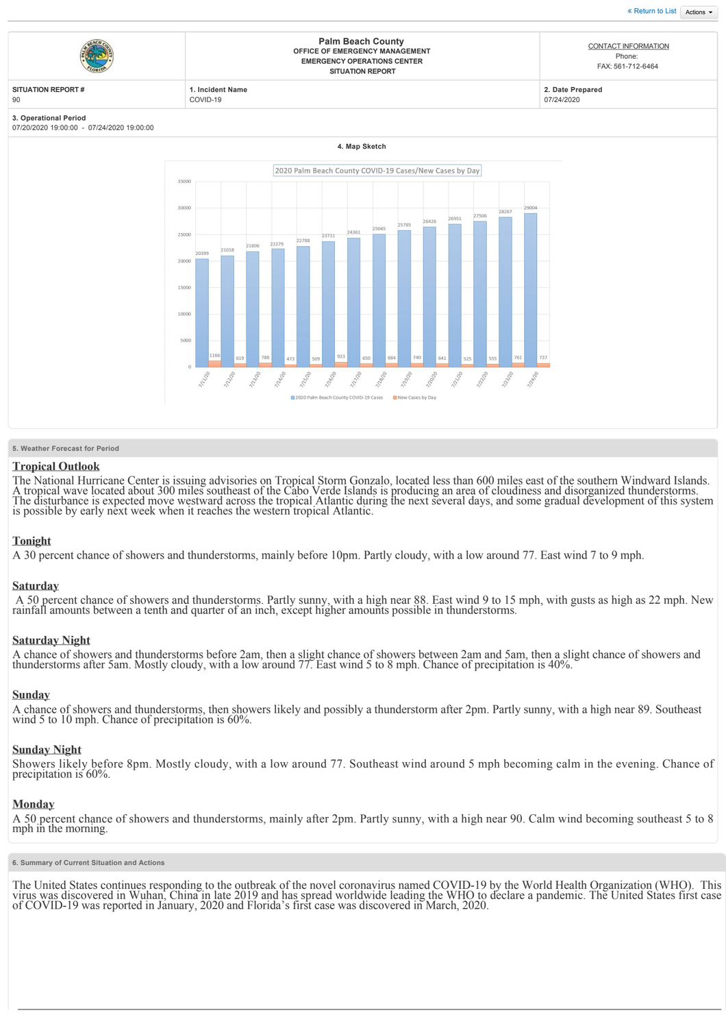

## **5. Weather Forecast for Period**

2000

 $1000$ 

## **Tropical Outlook**

The National Hurricane Center is issuing advisories on Tropical Storm Gonzalo, located less than 600 miles east of the southern Windward Islands. A tropical wave located about 300 miles southeast of the Cabo Verde Islands is possible by early next week when it reaches the western tropical Atlantic.

174970

12320

12220

122720

## **Tonight**

A 30 percent chance of showers and thunderstorms, mainly before 10pm. Partly cloudy, with a low around 77. East wind 7 to 9 mph.

115120

## **Saturday**

 A 50 percent chance of showers and thunderstorms. Partly sunny, with a high near 88. East wind 9 to 15 mph, with gusts as high as 22 mph. New rainfall amounts between a tenth and quarter of an inch, except higher amounts possible in thunderstorms.

## **Saturday Night**

A chance of showers and thunderstorms before 2am, then a slight chance of showers between 2am and 5am, then a slight chance of showers and thunderstorms after 5am. Mostly cloudy, with a low around 77. East wind 5 to 8 mph. Chance of precipitation is 40%.

## **Sunday**

A chance of showers and thunderstorms, then showers likely and possibly a thunderstorm after 2pm. Partly sunny, with a high near 89. Southeast wind 5 to 10 mph. Chance of precipitation is 60%.

## **Sunday Night**

Showers likely before 8pm. Mostly cloudy, with a low around 77. Southeast wind around 5 mph becoming calm in the evening. Chance of precipitation is 60%.

#### **Monday**

A 50 percent chance of showers and thunderstorms, mainly after 2pm. Partly sunny, with a high near 90. Calm wind becoming southeast 5 to 8 mph in the morning.

**6. Summary of Current Situation and Actions**

The United States continues responding to the outbreak of the novel coronavirus named COVID-19 by the World Health Organization (WHO). This virus was discovered in Wuhan, China in late 2019 and has spread worldwide leading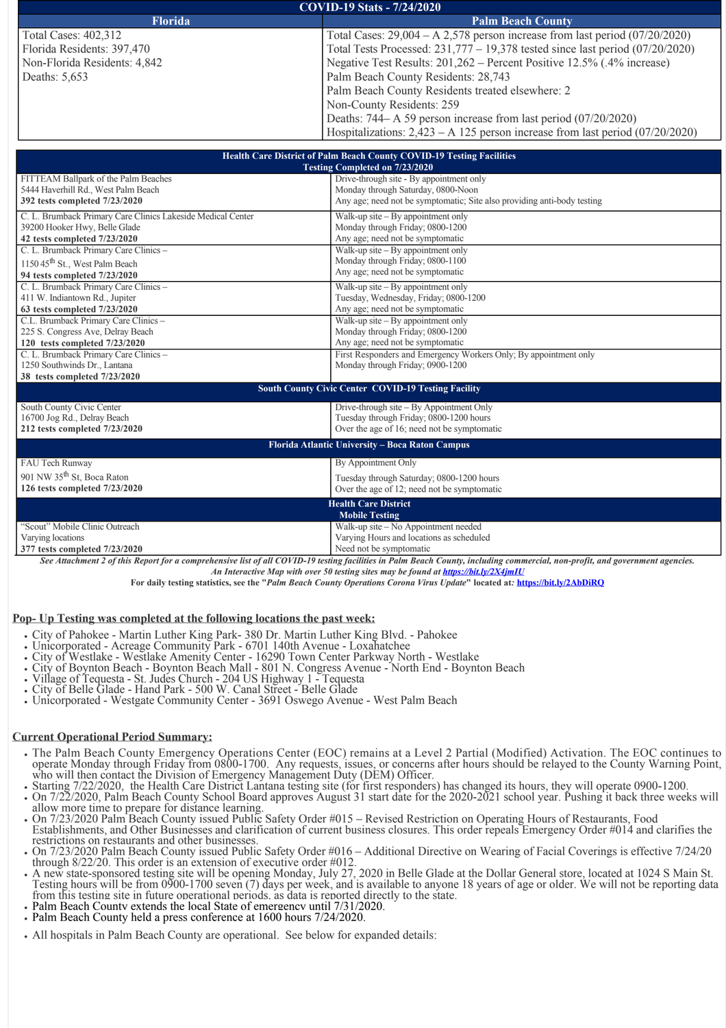| <b>COVID-19 Stats - 7/24/2020</b> |                                                                                 |  |  |
|-----------------------------------|---------------------------------------------------------------------------------|--|--|
| <b>Florida</b>                    | <b>Palm Beach County</b>                                                        |  |  |
| Total Cases: 402,312              | Total Cases: $29,004 - A$ 2,578 person increase from last period (07/20/2020)   |  |  |
| Florida Residents: 397,470        | Total Tests Processed: 231,777 – 19,378 tested since last period (07/20/2020)   |  |  |
| Non-Florida Residents: 4,842      | Negative Test Results: 201,262 – Percent Positive 12.5% (.4% increase)          |  |  |
| Deaths: 5,653                     | Palm Beach County Residents: 28,743                                             |  |  |
|                                   | Palm Beach County Residents treated elsewhere: 2                                |  |  |
|                                   | Non-County Residents: 259                                                       |  |  |
|                                   | Deaths: 744–A 59 person increase from last period (07/20/2020)                  |  |  |
|                                   | Hospitalizations: $2,423 - A$ 125 person increase from last period (07/20/2020) |  |  |
|                                   |                                                                                 |  |  |
|                                   | <b>Health Care District of Palm Beach County COVID-19 Testing Facilities</b>    |  |  |

| <b>Health Care District of Fallif Beach County COVID-19 Testing Facilities</b><br><b>Testing Completed on 7/23/2020</b> |                                                                         |  |
|-------------------------------------------------------------------------------------------------------------------------|-------------------------------------------------------------------------|--|
| FITTEAM Ballpark of the Palm Beaches                                                                                    | Drive-through site - By appointment only                                |  |
| 5444 Haverhill Rd., West Palm Beach                                                                                     | Monday through Saturday, 0800-Noon                                      |  |
| 392 tests completed 7/23/2020                                                                                           | Any age; need not be symptomatic; Site also providing anti-body testing |  |
| C. L. Brumback Primary Care Clinics Lakeside Medical Center                                                             | Walk-up site $-$ By appointment only                                    |  |
| 39200 Hooker Hwy, Belle Glade                                                                                           | Monday through Friday; 0800-1200                                        |  |
| 42 tests completed 7/23/2020                                                                                            | Any age; need not be symptomatic                                        |  |
| C. L. Brumback Primary Care Clinics -                                                                                   | Walk-up site $-$ By appointment only                                    |  |
| 1150 45 <sup>th</sup> St., West Palm Beach                                                                              | Monday through Friday; 0800-1100                                        |  |
| 94 tests completed 7/23/2020                                                                                            | Any age; need not be symptomatic                                        |  |
| C. L. Brumback Primary Care Clinics -                                                                                   | Walk-up site $-$ By appointment only                                    |  |
| 411 W. Indiantown Rd., Jupiter                                                                                          | Tuesday, Wednesday, Friday; 0800-1200                                   |  |
| 63 tests completed 7/23/2020                                                                                            | Any age; need not be symptomatic                                        |  |
| C.L. Brumback Primary Care Clinics -                                                                                    | Walk-up site $-$ By appointment only                                    |  |
| 225 S. Congress Ave, Delray Beach                                                                                       | Monday through Friday; 0800-1200                                        |  |
| 120 tests completed 7/23/2020                                                                                           | Any age; need not be symptomatic                                        |  |
| C. L. Brumback Primary Care Clinics -                                                                                   | First Responders and Emergency Workers Only; By appointment only        |  |
| 1250 Southwinds Dr., Lantana                                                                                            | Monday through Friday; 0900-1200                                        |  |
| 38 tests completed 7/23/2020                                                                                            | <b>South County Civic Center COVID-19 Testing Facility</b>              |  |
| South County Civic Center                                                                                               | Drive-through site – By Appointment Only                                |  |
| 16700 Jog Rd., Delray Beach                                                                                             | Tuesday through Friday; 0800-1200 hours                                 |  |
| 212 tests completed 7/23/2020                                                                                           | Over the age of 16; need not be symptomatic                             |  |
| Florida Atlantic University - Boca Raton Campus                                                                         |                                                                         |  |
| FAU Tech Runway                                                                                                         | By Appointment Only                                                     |  |
| 901 NW 35 <sup>th</sup> St, Boca Raton                                                                                  | Tuesday through Saturday; 0800-1200 hours                               |  |
| 126 tests completed 7/23/2020                                                                                           | Over the age of 12; need not be symptomatic                             |  |

| <b>Health Care District</b>                                                                  |                                          |  |
|----------------------------------------------------------------------------------------------|------------------------------------------|--|
| <b>Mobile Testing</b>                                                                        |                                          |  |
| "Scout" Mobile Clinic Outreach                                                               | Walk-up site – No Appointment needed     |  |
| Varying locations                                                                            | Varying Hours and locations as scheduled |  |
| 377 tests completed 7/23/2020                                                                | Need not be symptomatic                  |  |
| $\mathbf{u}$ , cucatum to, a cura material<br>$\alpha$ and $\alpha$ and $\alpha$<br>$\cdots$ |                                          |  |

*See Attachment 2 of this Report for a comprehensive list of all COVID19 testing facilities in Palm Beach County, including commercial, nonprofit, and government agencies.*

*An Interactive Map with over 50 testing sites may be found at<https://bit.ly/2X4jmIU>*

**For daily testing statistics, see the "***Palm Beach County Operations Corona Virus Update***" located at***:* **https://bit.ly/2AbDiRQ**

# **Pop- Up Testing was completed at the following locations the past week:**

- 
- 
- 
- City of Pahokee Martin Luther King Park- 380 Dr. Martin Luther King Blvd. Pahokee<br>• Unicorporated Acreage Community Park 6701 140th Avenue Loxahatchee<br>• City of Westlake Westlake Amenity Center 16290 Town C
- 
- 
- 

# **Current Operational Period Summary:**

- The Palm Beach County Emergency Operations Center (EOC) remains at a Level 2 Partial (Modified) Activation. The EOC continues to
- 
- who will then contact the Division of Emergency Management Duty (DEM) Officer.<br>Starting 7/22/2020, the Health Care District Lantana testing site (for first responders) has changed its hours, they will operate 0900-1200.<br>St
- On 7/23/2020 Palm Beach County issued Public Safety Order #015 Revised Restriction on Operating Hours of Restaurants, Food<br>Establishments, and Other Businesses and clarification of current business closures. This order r restrictions on restaurants and other businesses.
- On 7/23/2020 Palm Beach County issued Public Safety Order #016 Additional Directive on Wearing of Facial Coverings is effective 7/24/20 through 8/22/20. This order is an extension of executive order #012.<br>• A new state-sponsored testing site will be opening Monday, July 27, 2020 in Belle Glade at the Dollar General store, located at 1024 S Main St.
- A new state-sponsored testing site will be opening Monday, July 27, 2020 in Belle Glade at the Dollar General store, located at 1024 S Main St.<br>Testing hours will be from 0900-1700 seven (7) days per week, and is available from this testing site in future operational periods, as data is reported directly to the state.<br>Palm Beach Countv extends the local State of emergency until 7/31/2020.<br>Palm Beach County held a press conference at 1600 hou
- 
- 
- All hospitals in Palm Beach County are operational. See below for expanded details: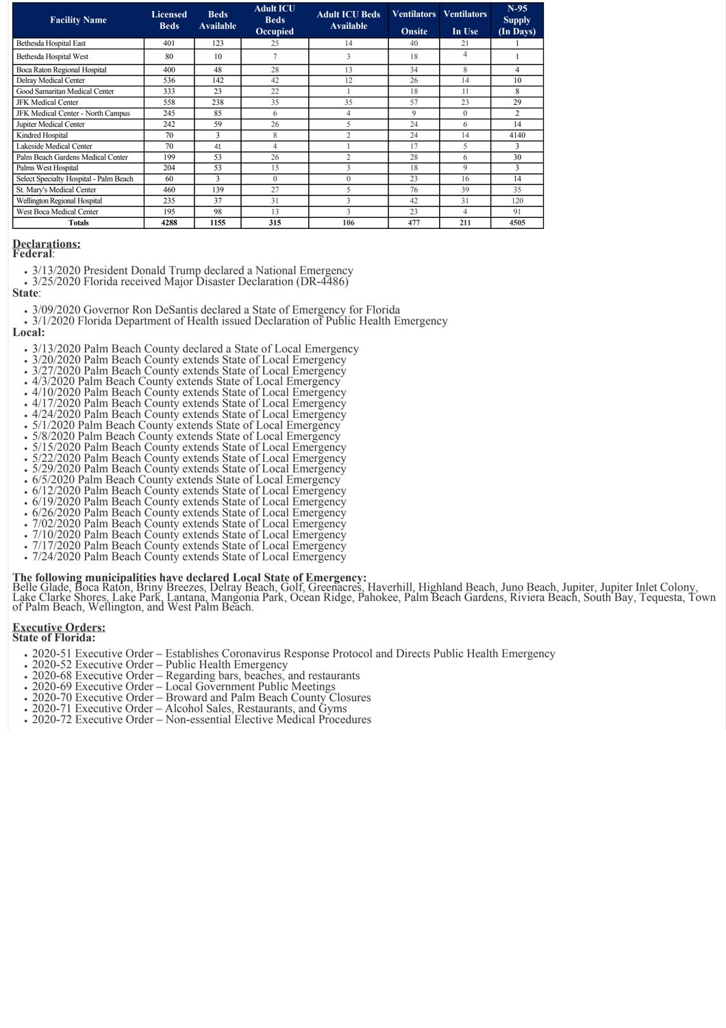| <b>Facility Name</b>                   | <b>Licensed</b><br><b>Beds</b> | <b>Beds</b><br><b>Available</b> | <b>Adult ICU</b><br><b>Beds</b> | <b>Adult ICU Beds</b><br><b>Available</b> | <b>Ventilators</b> | <b>Ventilators</b> | $N-95$<br><b>Supply</b> |
|----------------------------------------|--------------------------------|---------------------------------|---------------------------------|-------------------------------------------|--------------------|--------------------|-------------------------|
|                                        |                                |                                 | Occupied                        |                                           | <b>Onsite</b>      | In Use             | (In Days)               |
| Bethesda Hospital East                 | 401                            | 123                             | 25                              | 14                                        | 40                 | 21                 |                         |
| Bethesda Hospital West                 | 80                             | 10                              | $\overline{ }$                  | 3                                         | 18                 | 4                  |                         |
| Boca Raton Regional Hospital           | 400                            | 48                              | 28                              | 13                                        | 34                 | 8                  | 4                       |
| Delray Medical Center                  | 536                            | 142                             | 42                              | 12                                        | 26                 | 14                 | 10                      |
| Good Samaritan Medical Center          | 333                            | 23                              | 22                              |                                           | 18                 | 11                 | 8                       |
| <b>JFK Medical Center</b>              | 558                            | 238                             | 35                              | 35                                        | 57                 | 23                 | 29                      |
| JFK Medical Center - North Campus      | 245                            | 85                              | 6                               | 4                                         | 9                  | $\theta$           | $\overline{2}$          |
| Jupiter Medical Center                 | 242                            | 59                              | 26                              | 5                                         | 24                 | 6                  | 14                      |
| Kindred Hospital                       | 70                             | 3                               | 8                               | $\overline{c}$                            | 24                 | 14                 | 4140                    |
| Lakeside Medical Center                | 70                             | 41                              | $\overline{4}$                  |                                           | 17                 | 5                  | 3                       |
| Palm Beach Gardens Medical Center      | 199                            | 53                              | 26                              | $\overline{c}$                            | 28                 | 6                  | 30                      |
| Palms West Hospital                    | 204                            | 53                              | 15                              | 3                                         | 18                 | 9                  | 3                       |
| Select Specialty Hospital - Palm Beach | 60                             | 3                               | $\Omega$                        | $\theta$                                  | 23                 | 16                 | 14                      |
| St. Mary's Medical Center              | 460                            | 139                             | 27                              | 5                                         | 76                 | 39                 | 35                      |
| Wellington Regional Hospital           | 235                            | 37                              | 31                              | 3                                         | 42                 | 31                 | 120                     |
| West Boca Medical Center               | 195                            | 98                              | 13                              | $\mathbf{\hat{z}}$                        | 23                 | 4                  | 91                      |
| <b>Totals</b>                          | 4288                           | 1155                            | 315                             | 106                                       | 477                | 211                | 4505                    |

# **Declarations:**

**Federal**:

3/13/2020 President Donald Trump declared a National Emergency

• 3/25/2020 Florida received Major Disaster Declaration (DR-4486)

**State**:

- 
- 3/09/2020 Governor Ron DeSantis declared a State of Emergency for Florida 3/1/2020 Florida Department of Health issued Declaration of Public Health Emergency **Local:**
	-
	- 3/13/2020 Palm Beach County declared a State of Local Emergency 3/20/2020 Palm Beach County extends State of Local Emergency
	- 3/27/2020 Palm Beach County extends State of Local Emergency
	- $\cdot$  4/3/2020 Palm Beach County extends State of Local Emergency
	-
	- 4/10/2020 Palm Beach County extends State of Local Emergency 4/17/2020 Palm Beach County extends State of Local Emergency
	- 4/24/2020 Palm Beach County extends State of Local Emergency
	- 5/1/2020 Palm Beach County extends State of Local Emergency
	- 5/8/2020 Palm Beach County extends State of Local Emergency
	- 5/15/2020 Palm Beach County extends State of Local Emergency
	- 5/22/2020 Palm Beach County extends State of Local Emergency
	- 5/29/2020 Palm Beach County extends State of Local Emergency
	- 6/5/2020 Palm Beach County extends State of Local Emergency
	- 6/12/2020 Palm Beach County extends State of Local Emergency
	- 6/19/2020 Palm Beach County extends State of Local Emergency
	- 6/26/2020 Palm Beach County extends State of Local Emergency
	- 7/02/2020 Palm Beach County extends State of Local Emergency
	- 7/10/2020 Palm Beach County extends State of Local Emergency
	- 7/17/2020 Palm Beach County extends State of Local Emergency 7/24/2020 Palm Beach County extends State of Local Emergency

**The following municipalities have declared Local State of Emergency:**<br>Belle Glade, Boca Raton, Briny Breezes, Delray Beach, Golf, Greenacres, Haverhill, Highland Beach, Juno Beach, Jupiter, Jupiter Inlet Colony,<br>Lake Clar of Palm Beach, Wellington, and West Palm Beach.

### **Executive Orders: State of Florida:**

- 202051 Executive Order Establishes Coronavirus Response Protocol and Directs Public Health Emergency
- 
- 2020-52 Executive Order Public Health Emergency<br>• 2020-68 Executive Order Regarding bars, beaches, and restaurants
- 
- 
- 
- 2020-69 Executive Order Local Government Public Meetings<br>• 2020-70 Executive Order Broward and Palm Beach County Closures<br>• 2020-71 Executive Order Alcohol Sales, Restaurants, and Gyms<br>• 2020-72 Executive Order N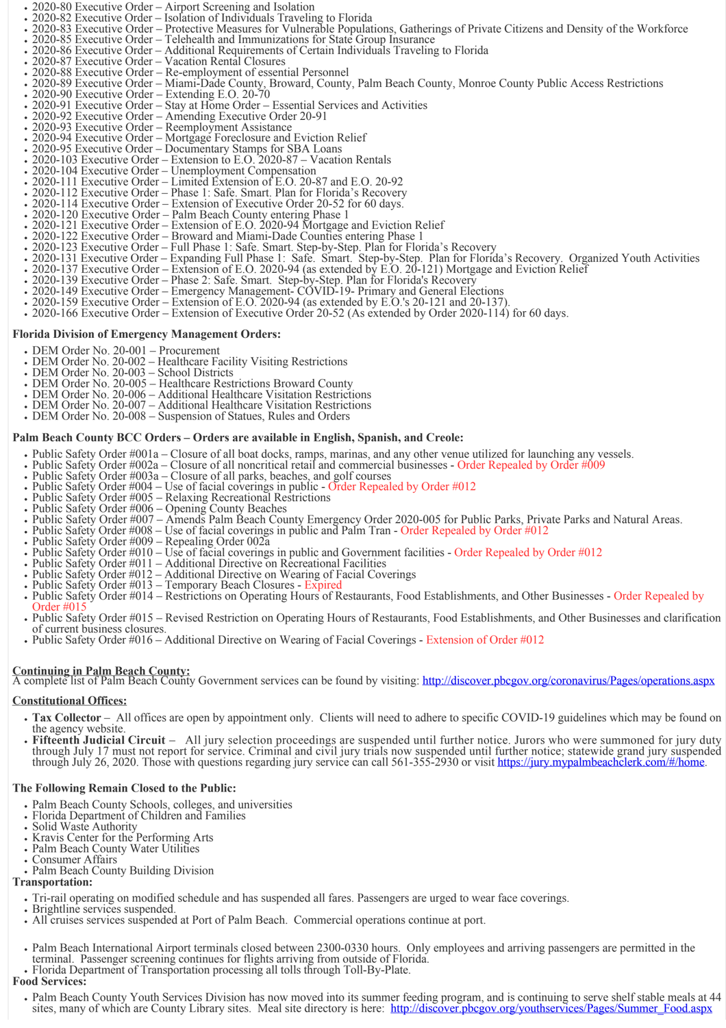- $\bullet$
- 2020-80 Executive Order Airport Screening and Isolation<br>• 2020-82 Executive Order Isolation of Individuals Traveling to Florida
- 2020-83 Executive Order Protective Measures for Vulnerable Populations, Gatherings of Private Citizens and Density of the Workforce<br>• 2020-83 Executive Order Protective Measures for Vulnerable Populations, Gatherings
	-
- 
- 
- 
- . 2020-89 Executive Order Miami-Dade County, Broward, County, Palm Beach County, Monroe County Public Access Restrictions<br>
 2020-90 Executive Order Extending E.O. 20-70
- 
- 2020-91 Executive Order Stay at Home Order Essential Services and Activities<br>• 2020-92 Executive Order Amending Executive Order 20-91<br>• 2020-93 Executive Order Reemployment Assistance
- 
- 
- 2020-94 Executive Order Mortgage Foreclosure and Eviction Relief<br>• 2020-95 Executive Order Documentary Stamps for SBA Loans<br>• 2020-103 Executive Order Extension to E.O. 2020-87 Vacation Rentals
- 
- 
- 
- 2020-104 Executive Order Unemployment Compensation<br>
2020-104 Executive Order Limited Extension of E.O. 20-87 and E.O. 20-92
- 2020-112 Executive Order Phase 1: Safe. Smart. Plan for Florida's Recovery<br>2020-114 Executive Order Extension of Executive Order 20-52 for 60 days.
- 2020-114 Executive Order Extension of Executive Order 20-52 for 60 days.<br>2020-120 Executive Order Palm Beach County entering Phase 1
- 
- 2020-121 Executive Order Extension of E.O. 2020-94 Mortgage and Eviction Relief<br>2020-122 Executive Order Broward and Miami-Dade Counties entering Phase 1
- 
- 2020-123 Executive Order Full Phase 1: Safe. Smart. Step-by-Step. Plan for Florida's Recovery
- 2020-131 Executive Order Expanding Full Phase 1: Safe. Smart. Step-by-Step. Plan for Florida's Recovery. Organized Youth Activities<br>2020-137 Executive Order Extension of E.O. 2020-94 (as extended by E.O. 20-121) Mortga
- 
- 
- 
- 
- 2020-149 Executive Order Emergency Management- CÓVID-19- Primary and General Elections<br>2020-159 Executive Order Extension of E.O. 2020-94 (as extended by E.O.'s 20-121 and 20-137).<br>2020-166 Executive Order Extension

## **Florida Division of Emergency Management Orders:**

- DEM Order No. 20-001 Procurement
- DEM Order No. 20-002 Healthcare Facility Visiting Restrictions<br>DEM Order No. 20-003 School Districts
- 
- 
- DEM Order No. 20-005 Healthcare Restrictions Broward County<br>• DEM Order No. 20-006 Additional Healthcare Visitation Restrictions
- DEM Order No. 20-007 Additional Healthcare Visitation Restrictions
- DEM Order No. 20-008 Suspension of Statues, Rules and Orders

## **Palm Beach County BCC Orders – Orders are available in English, Spanish, and Creole:**

- 
- 
- 
- 
- 
- 
- 
- 
- 
- 
- 
- 
- 
- Public Safety Order #001a Closure of all boat docks, ramps, marinas, and any other venue utilized for launching any vessels.<br>• Public Safety Order #002a Closure of all noncritical retail and commercial businesses -
- Public Safety Order #015 Revised Restriction on Operating Hours of Restaurants, Food Establishments, and Other Businesses and clarification of current business closures.
- Public Safety Order #016 Additional Directive on Wearing of Facial Coverings Extension of Order #012

**Continuing in Palm Beach County:**<br>A complete list of Palm Beach County Government services can be found by visiting: <http://discover.pbcgov.org/coronavirus/Pages/operations.aspx>

## **Constitutional Offices:**

- Tax Collector All offices are open by appointment only. Clients will need to adhere to specific COVID-19 guidelines which may be found on the agency website.
- **Fifteenth Judicial Circuit** All jury selection proceedings are suspended until further notice. Jurors who were summoned for jury duty through July 17 must not report for service. Criminal and civil jury trials now suspended until further notice; statewide grand jury suspended through July 26, 2020. Those with questions regarding jury service can call 561-355-2930 or visit [https://jury.mypalmbeachclerk.com/#/home.](https://jury.mypalmbeachclerk.com/#/home)

## **The Following Remain Closed to the Public:**

- Palm Beach County Schools, colleges, and universities<br>• Florida Department of Children and Families<br>• Solid Waste Authority<br>• Kravis Center for the Performing Arts<br>• Palm Beach County Water Utilities<br>• Consumer Affairs
- 
- 
- 
- 
- 
- Palm Beach County Building Division
- **Transportation:**
	- Tri-rail operating on modified schedule and has suspended all fares. Passengers are urged to wear face coverings.<br>• Brightline services suspended.<br>• All cruises services suspended at Port of Palm Beach. Commercial operat
	-
	-
	- Palm Beach International Airport terminals closed between 2300-0330 hours. Only employees and arriving passengers are permitted in the terminal. Passenger screening continues for flights arriving from outside of Florida.
	- Florida Department of Transportation processing all tolls through Toll-By-Plate.

## **Food Services:**

Palm Beach County Youth Services Division has now moved into its summer feeding program, and is continuing to serve shelf stable meals at 44 sites, many of which are County Library sites. Meal site directory is here: [http://discover.pbcgov.org/youthservices/Pages/Summer\\_Food.aspx](http://discover.pbcgov.org/youthservices/Pages/Summer_Food.aspx)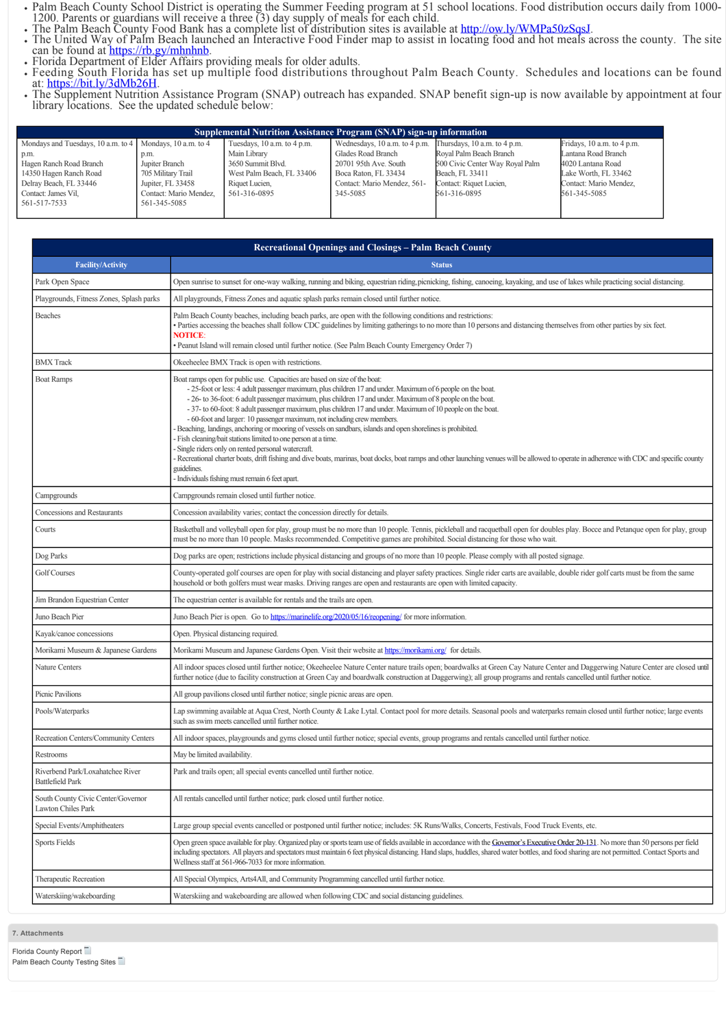- 
- 
- Palm Beach County School District is operating the Summer Feeding program at 51 school locations. Food distribution occurs daily from 1000-<br>1200. Parents or guardians will receive a three (3) day supply of meals for each can be found at https://<u>rb.gy/mhnhnb</u>.<br>Florida Department of Elder Affairs providing meals for older adults.<br>Feeding South Florida has set up multiple food distributions throughout Palm Beach County. Schedules and locatio
- 
- at: [https://bit.ly/3dMb26H.](https://bit.ly/3dMb26H)<br>The Supplement Nutrition Assistance Program (SNAP) outreach has expanded. SNAP benefit sign-up is now available by appointment at four
- library locations. See the updated schedule below:

| <b>Supplemental Nutrition Assistance Program (SNAP) sign-up information</b> |                        |                             |                                                            |                                 |                                |
|-----------------------------------------------------------------------------|------------------------|-----------------------------|------------------------------------------------------------|---------------------------------|--------------------------------|
| Mondays and Tuesdays, 10 a.m. to 4   Mondays, 10 a.m. to 4                  |                        | Tuesdays, 10 a.m. to 4 p.m. | Wednesdays, 10 a.m. to 4 p.m. Thursdays, 10 a.m. to 4 p.m. |                                 | Fridays, $10$ a.m. to $4$ p.m. |
| p.m.                                                                        | p.m.                   | Main Library                | Glades Road Branch                                         | Royal Palm Beach Branch         | Lantana Road Branch            |
| Hagen Ranch Road Branch                                                     | Jupiter Branch         | 3650 Summit Blyd.           | 20701 95th Ave. South                                      | 500 Civic Center Way Royal Palm | 4020 Lantana Road              |
| 14350 Hagen Ranch Road                                                      | 705 Military Trail     | West Palm Beach, FL 33406   | Boca Raton, FL 33434                                       | Beach, FL 33411                 | Lake Worth, FL 33462           |
| Delray Beach, FL 33446                                                      | Jupiter, FL 33458      | Riquet Lucien,              | Contact: Mario Mendez, 561-                                | Contact: Riquet Lucien,         | Contact: Mario Mendez,         |
| Contact: James Vil.                                                         | Contact: Mario Mendez, | 561-316-0895                | 345-5085                                                   | 561-316-0895                    | 561-345-5085                   |
| 561-517-7533                                                                | 561-345-5085           |                             |                                                            |                                 |                                |
|                                                                             |                        |                             |                                                            |                                 |                                |

| <b>Recreational Openings and Closings – Palm Beach County</b> |                                                                                                                                                                                                                                                                                                                                                                                                                                                                                                                                                                                                                                                                                                                                                                                                                                                                                                                                                                                                  |  |
|---------------------------------------------------------------|--------------------------------------------------------------------------------------------------------------------------------------------------------------------------------------------------------------------------------------------------------------------------------------------------------------------------------------------------------------------------------------------------------------------------------------------------------------------------------------------------------------------------------------------------------------------------------------------------------------------------------------------------------------------------------------------------------------------------------------------------------------------------------------------------------------------------------------------------------------------------------------------------------------------------------------------------------------------------------------------------|--|
| <b>Facility/Activity</b>                                      | <b>Status</b>                                                                                                                                                                                                                                                                                                                                                                                                                                                                                                                                                                                                                                                                                                                                                                                                                                                                                                                                                                                    |  |
| Park Open Space                                               | Open sunrise to sunset for one-way walking, running and biking, equestrian riding, picnicking, fishing, canoeing, kayaking, and use of lakes while practicing social distancing.                                                                                                                                                                                                                                                                                                                                                                                                                                                                                                                                                                                                                                                                                                                                                                                                                 |  |
| Playgrounds, Fitness Zones, Splash parks                      | All playgrounds, Fitness Zones and aquatic splash parks remain closed until further notice.                                                                                                                                                                                                                                                                                                                                                                                                                                                                                                                                                                                                                                                                                                                                                                                                                                                                                                      |  |
| Beaches                                                       | Palm Beach County beaches, including beach parks, are open with the following conditions and restrictions:<br>· Parties accessing the beaches shall follow CDC guidelines by limiting gatherings to no more than 10 persons and distancing themselves from other parties by six feet.<br><b>NOTICE:</b><br>Peanut Island will remain closed until further notice. (See Palm Beach County Emergency Order 7)                                                                                                                                                                                                                                                                                                                                                                                                                                                                                                                                                                                      |  |
| <b>BMX</b> Track                                              | Okeeheelee BMX Track is open with restrictions.                                                                                                                                                                                                                                                                                                                                                                                                                                                                                                                                                                                                                                                                                                                                                                                                                                                                                                                                                  |  |
| <b>Boat Ramps</b>                                             | Boat ramps open for public use. Capacities are based on size of the boat:<br>- 25-foot or less: 4 adult passenger maximum, plus children 17 and under. Maximum of 6 people on the boat.<br>- 26- to 36-foot: 6 adult passenger maximum, plus children 17 and under. Maximum of 8 people on the boat.<br>- 37- to 60-foot: 8 adult passenger maximum, plus children 17 and under. Maximum of 10 people on the boat.<br>- 60-foot and larger: 10 passenger maximum, not including crew members.<br>Beaching, landings, anchoring or mooring of vessels on sandbars, islands and open shorelines is prohibited.<br>- Fish cleaning/bait stations limited to one person at a time.<br>Single riders only on rented personal watercraft.<br>Recreational charter boats, drift fishing and dive boats, marinas, boat docks, boat ramps and other launching venues will be allowed to operate in adherence with CDC and specific county<br>guidelines.<br>Individuals fishing must remain 6 feet apart. |  |
| Campgrounds                                                   | Campgrounds remain closed until further notice.                                                                                                                                                                                                                                                                                                                                                                                                                                                                                                                                                                                                                                                                                                                                                                                                                                                                                                                                                  |  |
| Concessions and Restaurants                                   | Concession availability varies, contact the concession directly for details.                                                                                                                                                                                                                                                                                                                                                                                                                                                                                                                                                                                                                                                                                                                                                                                                                                                                                                                     |  |
| Courts                                                        | Basketball and volleyball open for play, group must be no more than 10 people. Tennis, pickleball and racquetball open for doubles play. Bocce and Petanque open for play, group<br>must be no more than 10 people. Masks recommended. Competitive games are prohibited. Social distancing for those who wait.                                                                                                                                                                                                                                                                                                                                                                                                                                                                                                                                                                                                                                                                                   |  |
| Dog Parks                                                     | Dog parks are open; restrictions include physical distancing and groups of no more than 10 people. Please comply with all posted signage.                                                                                                                                                                                                                                                                                                                                                                                                                                                                                                                                                                                                                                                                                                                                                                                                                                                        |  |
| Golf Courses                                                  | County-operated golf courses are open for play with social distancing and player safety practices. Single rider carts are available, double rider golf carts must be from the same<br>household or both golfers must wear masks. Driving ranges are open and restaurants are open with limited capacity.                                                                                                                                                                                                                                                                                                                                                                                                                                                                                                                                                                                                                                                                                         |  |
| Jim Brandon Equestrian Center                                 | The equestrian center is available for rentals and the trails are open.                                                                                                                                                                                                                                                                                                                                                                                                                                                                                                                                                                                                                                                                                                                                                                                                                                                                                                                          |  |
| Juno Beach Pier                                               | Juno Beach Pier is open. Go to https://marinelife.org/2020/05/16/reopening/ for more information.                                                                                                                                                                                                                                                                                                                                                                                                                                                                                                                                                                                                                                                                                                                                                                                                                                                                                                |  |
| Kayak/canoe concessions                                       | Open. Physical distancing required.                                                                                                                                                                                                                                                                                                                                                                                                                                                                                                                                                                                                                                                                                                                                                                                                                                                                                                                                                              |  |
| Morikami Museum & Japanese Gardens                            | Morikami Museum and Japanese Gardens Open. Visit their website at https://morikami.org/ for details.                                                                                                                                                                                                                                                                                                                                                                                                                                                                                                                                                                                                                                                                                                                                                                                                                                                                                             |  |
| Nature Centers                                                | All indoor spaces closed until further notice; Okeeheelee Nature Center nature trails open; boardwalks at Green Cay Nature Center and Daggerwing Nature Center are closed until<br>further notice (due to facility construction at Green Cay and boardwalk construction at Daggerwing); all group programs and rentals cancelled until further notice.                                                                                                                                                                                                                                                                                                                                                                                                                                                                                                                                                                                                                                           |  |
| Picnic Pavilions                                              | All group pavilions closed until further notice; single picnic areas are open.                                                                                                                                                                                                                                                                                                                                                                                                                                                                                                                                                                                                                                                                                                                                                                                                                                                                                                                   |  |
| Pools/Waterparks                                              | Lap swimming available at Aqua Crest, North County & Lake Lytal. Contact pool for more details. Seasonal pools and waterparks remain closed until further notice; large events<br>such as swim meets cancelled until further notice.                                                                                                                                                                                                                                                                                                                                                                                                                                                                                                                                                                                                                                                                                                                                                             |  |
| Recreation Centers/Community Centers                          | All indoor spaces, playgrounds and gyms closed until further notice; special events, group programs and rentals cancelled until further notice.                                                                                                                                                                                                                                                                                                                                                                                                                                                                                                                                                                                                                                                                                                                                                                                                                                                  |  |
| Restrooms                                                     | May be limited availability.                                                                                                                                                                                                                                                                                                                                                                                                                                                                                                                                                                                                                                                                                                                                                                                                                                                                                                                                                                     |  |
| Riverbend Park/Loxahatchee River<br><b>Battlefield Park</b>   | Park and trails open; all special events cancelled until further notice.                                                                                                                                                                                                                                                                                                                                                                                                                                                                                                                                                                                                                                                                                                                                                                                                                                                                                                                         |  |
| South County Civic Center/Governor<br>Lawton Chiles Park      | All rentals cancelled until further notice; park closed until further notice.                                                                                                                                                                                                                                                                                                                                                                                                                                                                                                                                                                                                                                                                                                                                                                                                                                                                                                                    |  |
| Special Events/Amphitheaters                                  | Large group special events cancelled or postponed until further notice; includes: 5K Runs/Walks, Concerts, Festivals, Food Truck Events, etc.                                                                                                                                                                                                                                                                                                                                                                                                                                                                                                                                                                                                                                                                                                                                                                                                                                                    |  |
| Sports Fields                                                 | Open green space available for play. Organized play or sports team use of fields available in accordance with the Governor's Executive Order 20-131. No more than 50 persons per field<br>including spectators. All players and spectators must maintain 6 feet physical distancing. Hand slaps, huddles, shared water bottles, and food sharing are not permitted. Contact Sports and<br>Wellness staff at 561-966-7033 for more information.                                                                                                                                                                                                                                                                                                                                                                                                                                                                                                                                                   |  |
| Therapeutic Recreation                                        | All Special Olympics, Arts4All, and Community Programming cancelled until further notice.                                                                                                                                                                                                                                                                                                                                                                                                                                                                                                                                                                                                                                                                                                                                                                                                                                                                                                        |  |
| Waterskiing/wakeboarding                                      | Waterskiing and wakeboarding are allowed when following CDC and social distancing guidelines.                                                                                                                                                                                                                                                                                                                                                                                                                                                                                                                                                                                                                                                                                                                                                                                                                                                                                                    |  |

**7. Attachments**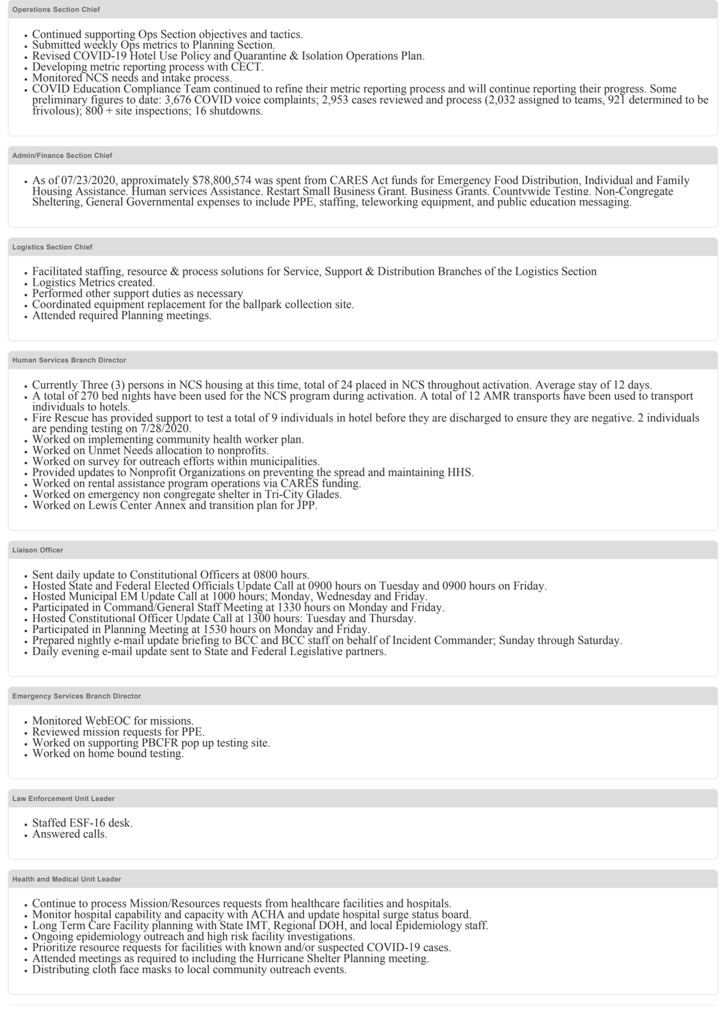- 
- 
- 
- 
- 
- Continued supporting Ops Section objectives and tactics.<br>
 Submitted weekly Ops metrics to Planning Section.<br>
 Revised COVID-19 Hotel Use Policy and Quarantine & Isolation Operations Plan.<br>
 Developing metric reportin frivolous);  $800 +$  site inspections; 16 shutdowns.

#### **Admin/Finance Section Chief**

• As of 07/23/2020, approximately \$78,800,574 was spent from CARES Act funds for Emergency Food Distribution, Individual and Family Housing Assistance. Human services Assistance. Restart Small Business Grant. Business Gran

## **Logistics Section Chief**

- Facilitated staffing, resource & process solutions for Service, Support & Distribution Branches of the Logistics Section<br>• Logistics Metrics created.<br>• Performed other support duties as necessary<br>• Coordinated equipment
- 
- 
- 
- 

#### **Human Services Branch Director**

- 
- Currently Three (3) persons in NCS housing at this time, total of 24 placed in NCS throughout activation. Average stay of 12 days.<br>• A total of 270 bed nights have been used for the NCS program during activation. A total individuals to hotels.
- Fire Rescue has provided support to test a total of 9 individuals in hotel before they are discharged to ensure they are negative. 2 individuals are pending testing on  $7/28/2020$ .
- 
- 
- 
- Worked on implementing community health worker plan.<br>• Worked on Unmet Needs allocation to nonprofits.<br>• Worked on survey for outreach efforts within municipalities.<br>• Provided updates to Nonprofit Organizations on preve
- 
- 
- 

#### **Liaison Officer**

- 
- 
- 
- 
- 
- 
- Sent daily update to Constitutional Officers at 0800 hours.<br>
 Hosted State and Federal Elected Officials Update Call at 0900 hours on Tuesday and 0900 hours on Friday.<br>
 Hosted Municipal EM Update Call at 1000 hours; M
- 

## **Emergency Services Branch Director**

- 
- Monitored WebEOC for missions.<br>• Reviewed mission requests for PPE.
- Worked on supporting PBCFR pop up testing site.<br>Worked on home bound testing.
- 

#### **Law Enforcement Unit Leader**

- Staffed ESF-16 desk.
- Answered calls.

#### **Health and Medical Unit Leader**

- 
- 
- Continue to process Mission/Resources requests from healthcare facilities and hospitals.<br>• Monitor hospital capability and capacity with ACHA and update hospital surge status board.<br>• Long Term Care Facility planning wit
- 
- $\bullet$
- 
-